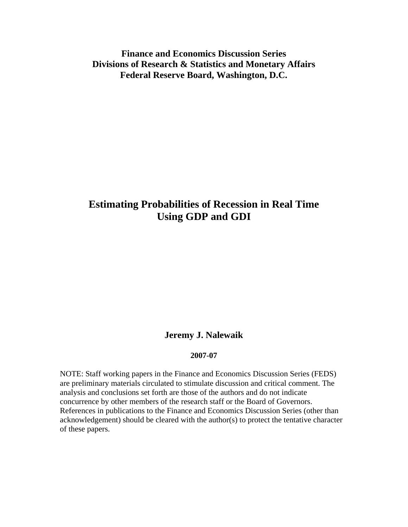# **Finance and Economics Discussion Series Divisions of Research & Statistics and Monetary Affairs Federal Reserve Board, Washington, D.C.**

# **Estimating Probabilities of Recession in Real Time Using GDP and GDI**

## **Jeremy J. Nalewaik**

### **2007-07**

NOTE: Staff working papers in the Finance and Economics Discussion Series (FEDS) are preliminary materials circulated to stimulate discussion and critical comment. The analysis and conclusions set forth are those of the authors and do not indicate concurrence by other members of the research staff or the Board of Governors. References in publications to the Finance and Economics Discussion Series (other than acknowledgement) should be cleared with the author(s) to protect the tentative character of these papers.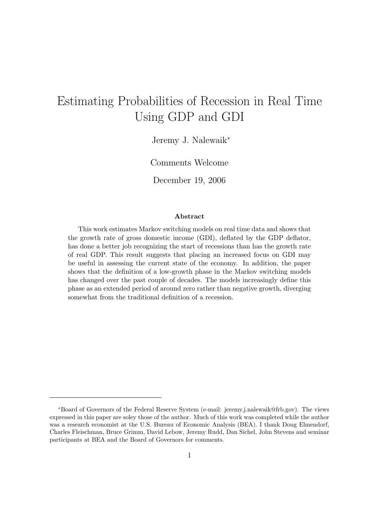# Estimating Probabilities of Recession in Real Time Using GDP and GDI

Jeremy J. Nalewaik<sup>∗</sup>

Comments Welcome

December 19, 2006

### Abstract

This work estimates Markov switching models on real time data and shows that the growth rate of gross domestic income (GDI), deflated by the GDP deflator, has done a better job recognizing the start of recessions than has the growth rate of real GDP. This result suggests that placing an increased focus on GDI may be useful in assessing the current state of the economy. In addition, the paper shows that the definition of a low-growth phase in the Markov switching models has changed over the past couple of decades. The models increasingly define this phase as an extended period of around zero rather than negative growth, diverging somewhat from the traditional definition of a recession.

<sup>∗</sup>Board of Governors of the Federal Reserve System (e-mail: jeremy.j.nalewaik@frb.gov). The views expressed in this paper are soley those of the author. Much of this work was completed while the author was a research economist at the U.S. Bureau of Economic Analysis (BEA). I thank Doug Elmendorf, Charles Fleischman, Bruce Grimm, David Lebow, Jeremy Rudd, Dan Sichel, John Stevens and seminar participants at BEA and the Board of Governors for comments.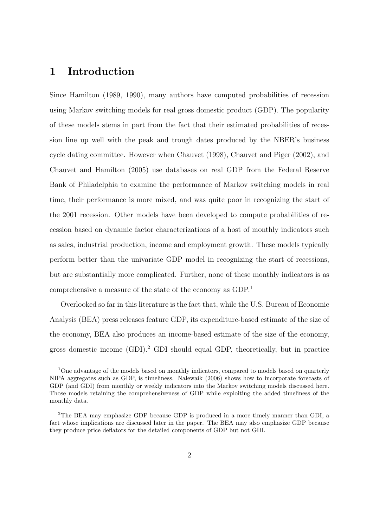# 1 Introduction

Since Hamilton (1989, 1990), many authors have computed probabilities of recession using Markov switching models for real gross domestic product (GDP). The popularity of these models stems in part from the fact that their estimated probabilities of recession line up well with the peak and trough dates produced by the NBER's business cycle dating committee. However when Chauvet (1998), Chauvet and Piger (2002), and Chauvet and Hamilton (2005) use databases on real GDP from the Federal Reserve Bank of Philadelphia to examine the performance of Markov switching models in real time, their performance is more mixed, and was quite poor in recognizing the start of the 2001 recession. Other models have been developed to compute probabilities of recession based on dynamic factor characterizations of a host of monthly indicators such as sales, industrial production, income and employment growth. These models typically perform better than the univariate GDP model in recognizing the start of recessions, but are substantially more complicated. Further, none of these monthly indicators is as comprehensive a measure of the state of the economy as GDP.<sup>1</sup>

Overlooked so far in this literature is the fact that, while the U.S. Bureau of Economic Analysis (BEA) press releases feature GDP, its expenditure-based estimate of the size of the economy, BEA also produces an income-based estimate of the size of the economy, gross domestic income  $(GDI)^2$  GDI should equal GDP, theoretically, but in practice

<sup>&</sup>lt;sup>1</sup>One advantage of the models based on monthly indicators, compared to models based on quarterly NIPA aggregates such as GDP, is timeliness. Nalewaik (2006) shows how to incorporate forecasts of GDP (and GDI) from monthly or weekly indicators into the Markov switching models discussed here. Those models retaining the comprehensiveness of GDP while exploiting the added timeliness of the monthly data.

<sup>2</sup>The BEA may emphasize GDP because GDP is produced in a more timely manner than GDI, a fact whose implications are discussed later in the paper. The BEA may also emphasize GDP because they produce price deflators for the detailed components of GDP but not GDI.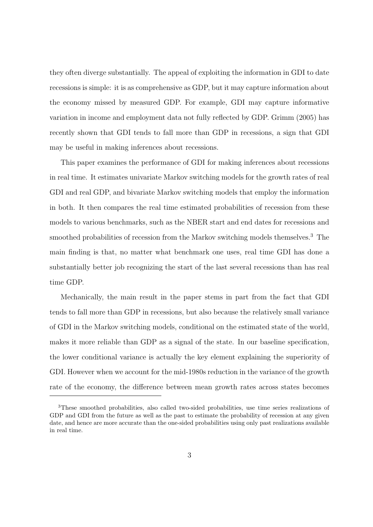they often diverge substantially. The appeal of exploiting the information in GDI to date recessions is simple: it is as comprehensive as GDP, but it may capture information about the economy missed by measured GDP. For example, GDI may capture informative variation in income and employment data not fully reflected by GDP. Grimm (2005) has recently shown that GDI tends to fall more than GDP in recessions, a sign that GDI may be useful in making inferences about recessions.

This paper examines the performance of GDI for making inferences about recessions in real time. It estimates univariate Markov switching models for the growth rates of real GDI and real GDP, and bivariate Markov switching models that employ the information in both. It then compares the real time estimated probabilities of recession from these models to various benchmarks, such as the NBER start and end dates for recessions and smoothed probabilities of recession from the Markov switching models themselves.<sup>3</sup> The main finding is that, no matter what benchmark one uses, real time GDI has done a substantially better job recognizing the start of the last several recessions than has real time GDP.

Mechanically, the main result in the paper stems in part from the fact that GDI tends to fall more than GDP in recessions, but also because the relatively small variance of GDI in the Markov switching models, conditional on the estimated state of the world, makes it more reliable than GDP as a signal of the state. In our baseline specification, the lower conditional variance is actually the key element explaining the superiority of GDI. However when we account for the mid-1980s reduction in the variance of the growth rate of the economy, the difference between mean growth rates across states becomes

<sup>3</sup>These smoothed probabilities, also called two-sided probabilities, use time series realizations of GDP and GDI from the future as well as the past to estimate the probability of recession at any given date, and hence are more accurate than the one-sided probabilities using only past realizations available in real time.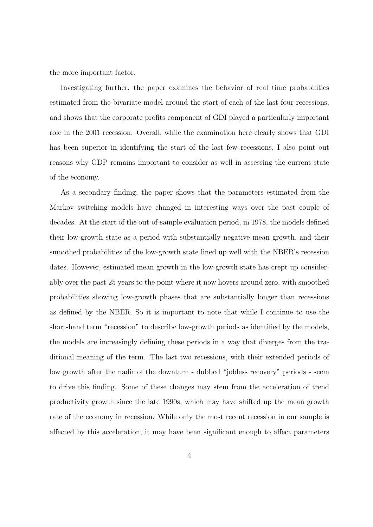the more important factor.

Investigating further, the paper examines the behavior of real time probabilities estimated from the bivariate model around the start of each of the last four recessions, and shows that the corporate profits component of GDI played a particularly important role in the 2001 recession. Overall, while the examination here clearly shows that GDI has been superior in identifying the start of the last few recessions, I also point out reasons why GDP remains important to consider as well in assessing the current state of the economy.

As a secondary finding, the paper shows that the parameters estimated from the Markov switching models have changed in interesting ways over the past couple of decades. At the start of the out-of-sample evaluation period, in 1978, the models defined their low-growth state as a period with substantially negative mean growth, and their smoothed probabilities of the low-growth state lined up well with the NBER's recession dates. However, estimated mean growth in the low-growth state has crept up considerably over the past 25 years to the point where it now hovers around zero, with smoothed probabilities showing low-growth phases that are substantially longer than recessions as defined by the NBER. So it is important to note that while I continue to use the short-hand term "recession" to describe low-growth periods as identified by the models, the models are increasingly defining these periods in a way that diverges from the traditional meaning of the term. The last two recessions, with their extended periods of low growth after the nadir of the downturn - dubbed "jobless recovery" periods - seem to drive this finding. Some of these changes may stem from the acceleration of trend productivity growth since the late 1990s, which may have shifted up the mean growth rate of the economy in recession. While only the most recent recession in our sample is affected by this acceleration, it may have been significant enough to affect parameters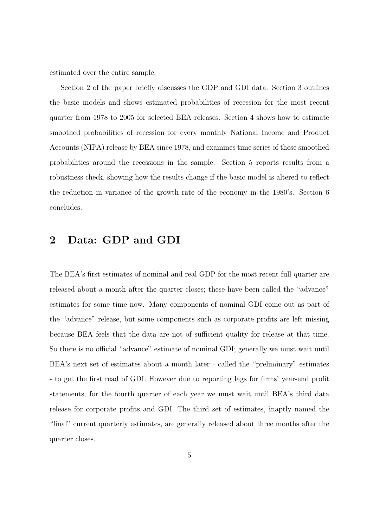estimated over the entire sample.

Section 2 of the paper briefly discusses the GDP and GDI data. Section 3 outlines the basic models and shows estimated probabilities of recession for the most recent quarter from 1978 to 2005 for selected BEA releases. Section 4 shows how to estimate smoothed probabilities of recession for every monthly National Income and Product Accounts (NIPA) release by BEA since 1978, and examines time series of these smoothed probabilities around the recessions in the sample. Section 5 reports results from a robustness check, showing how the results change if the basic model is altered to reflect the reduction in variance of the growth rate of the economy in the 1980's. Section 6 concludes.

# 2 Data: GDP and GDI

The BEA's first estimates of nominal and real GDP for the most recent full quarter are released about a month after the quarter closes; these have been called the "advance" estimates for some time now. Many components of nominal GDI come out as part of the "advance" release, but some components such as corporate profits are left missing because BEA feels that the data are not of sufficient quality for release at that time. So there is no official "advance" estimate of nominal GDI; generally we must wait until BEA's next set of estimates about a month later - called the "preliminary" estimates - to get the first read of GDI. However due to reporting lags for firms' year-end profit statements, for the fourth quarter of each year we must wait until BEA's third data release for corporate profits and GDI. The third set of estimates, inaptly named the "final" current quarterly estimates, are generally released about three months after the quarter closes.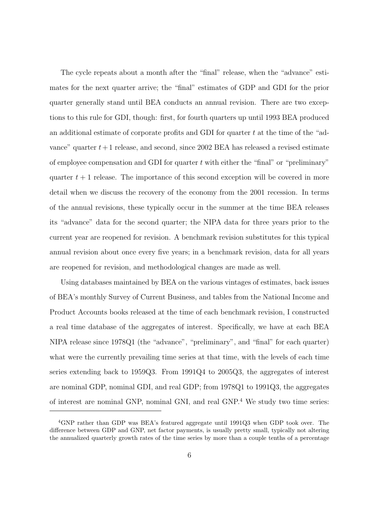The cycle repeats about a month after the "final" release, when the "advance" estimates for the next quarter arrive; the "final" estimates of GDP and GDI for the prior quarter generally stand until BEA conducts an annual revision. There are two exceptions to this rule for GDI, though: first, for fourth quarters up until 1993 BEA produced an additional estimate of corporate profits and GDI for quarter  $t$  at the time of the "advance" quarter  $t+1$  release, and second, since 2002 BEA has released a revised estimate of employee compensation and GDI for quarter  $t$  with either the "final" or "preliminary" quarter  $t + 1$  release. The importance of this second exception will be covered in more detail when we discuss the recovery of the economy from the 2001 recession. In terms of the annual revisions, these typically occur in the summer at the time BEA releases its "advance" data for the second quarter; the NIPA data for three years prior to the current year are reopened for revision. A benchmark revision substitutes for this typical annual revision about once every five years; in a benchmark revision, data for all years are reopened for revision, and methodological changes are made as well.

Using databases maintained by BEA on the various vintages of estimates, back issues of BEA's monthly Survey of Current Business, and tables from the National Income and Product Accounts books released at the time of each benchmark revision, I constructed a real time database of the aggregates of interest. Specifically, we have at each BEA NIPA release since 1978Q1 (the "advance", "preliminary", and "final" for each quarter) what were the currently prevailing time series at that time, with the levels of each time series extending back to 1959Q3. From 1991Q4 to 2005Q3, the aggregates of interest are nominal GDP, nominal GDI, and real GDP; from 1978Q1 to 1991Q3, the aggregates of interest are nominal GNP, nominal GNI, and real GNP.<sup>4</sup> We study two time series:

<sup>4</sup>GNP rather than GDP was BEA's featured aggregate until 1991Q3 when GDP took over. The difference between GDP and GNP, net factor payments, is usually pretty small, typically not altering the annualized quarterly growth rates of the time series by more than a couple tenths of a percentage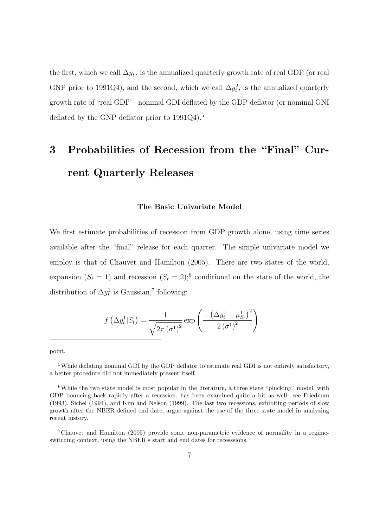the first, which we call  $\Delta y_t^1$ , is the annualized quarterly growth rate of real GDP (or real GNP prior to 1991Q4), and the second, which we call  $\Delta y_t^2$ , is the annualized quarterly growth rate of "real GDI" - nominal GDI deflated by the GDP deflator (or nominal GNI deflated by the GNP deflator prior to 1991Q4).<sup>5</sup>

# 3 Probabilities of Recession from the "Final" Current Quarterly Releases

#### The Basic Univariate Model

We first estimate probabilities of recession from GDP growth alone, using time series available after the "final" release for each quarter. The simple univariate model we employ is that of Chauvet and Hamilton (2005). There are two states of the world, expansion  $(S_t = 1)$  and recession  $(S_t = 2)$ ;<sup>6</sup> conditional on the state of the world, the distribution of  $\Delta y_t^1$  is Gaussian,<sup>7</sup> following:

$$
f\left(\Delta y_t^1 | S_t\right) = \frac{1}{\sqrt{2\pi \left(\sigma^1\right)^2}} \exp\left(\frac{-\left(\Delta y_t^1 - \mu_{S_t}^1\right)^2}{2 \left(\sigma^1\right)^2}\right).
$$

point.

<sup>5</sup>While deflating nominal GDI by the GDP deflator to estimate real GDI is not entirely satisfactory, a better procedure did not immediately present itself.

<sup>6</sup>While the two state model is most popular in the literature, a three state "plucking" model, with GDP bouncing back rapidly after a recession, has been examined quite a bit as well: see Friedman (1993), Sichel (1994), and Kim and Nelson (1999). The last two recessions, exhibiting periods of slow growth after the NBER-defined end date, argue against the use of the three state model in analyzing recent history.

<sup>7</sup>Chauvet and Hamilton (2005) provide some non-parametric evidence of normality in a regimeswitching context, using the NBER's start and end dates for recesssions.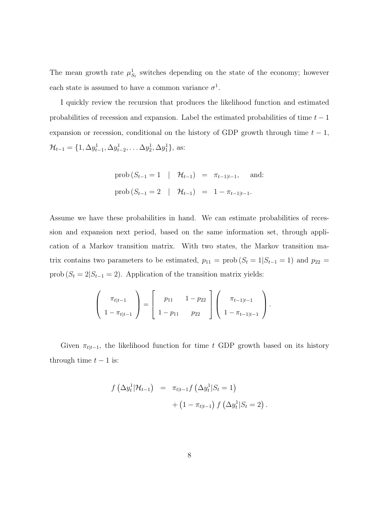The mean growth rate  $\mu_{S_t}^1$  switches depending on the state of the economy; however each state is assumed to have a common variance  $\sigma^1$ .

I quickly review the recursion that produces the likelihood function and estimated probabilities of recession and expansion. Label the estimated probabilities of time  $t - 1$ expansion or recession, conditional on the history of GDP growth through time  $t - 1$ ,  $\mathcal{H}_{t-1} = \{1, \Delta y_{t-1}^1, \Delta y_{t-2}^1, \dots \Delta y_2^1, \Delta y_1^1\},\$ as:

prob 
$$
(S_{t-1} = 1 | \mathcal{H}_{t-1}) = \pi_{t-1|t-1}
$$
, and:  
prob  $(S_{t-1} = 2 | \mathcal{H}_{t-1}) = 1 - \pi_{t-1|t-1}$ .

Assume we have these probabilities in hand. We can estimate probabilities of recession and expansion next period, based on the same information set, through application of a Markov transition matrix. With two states, the Markov transition matrix contains two parameters to be estimated,  $p_{11} = \text{prob}(S_t = 1|S_{t-1} = 1)$  and  $p_{22} =$ prob ( $S_t = 2|S_{t-1} = 2)$ . Application of the transition matrix yields:

$$
\left(\begin{array}{c}\pi_{t|t-1}\\1-\pi_{t|t-1}\end{array}\right)=\left[\begin{array}{cc}p_{11}&1-p_{22}\\1-p_{11}&p_{22}\end{array}\right]\left(\begin{array}{c}\pi_{t-1|t-1}\\1-\pi_{t-1|t-1}\end{array}\right).
$$

Given  $\pi_{t|t-1}$ , the likelihood function for time t GDP growth based on its history through time  $t - 1$  is:

$$
f\left(\Delta y_t^1|\mathcal{H}_{t-1}\right) = \pi_{t|t-1} f\left(\Delta y_t^1|S_t=1\right) + \left(1 - \pi_{t|t-1}\right) f\left(\Delta y_t^1|S_t=2\right).
$$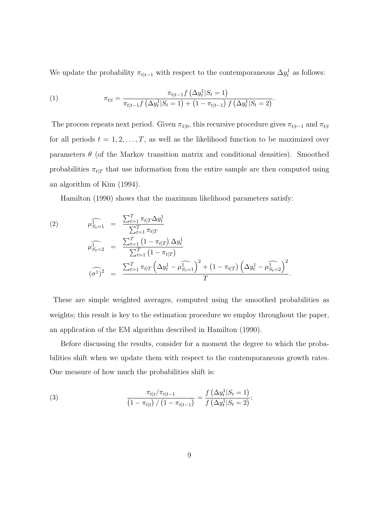We update the probability  $\pi_{t|t-1}$  with respect to the contemporaneous  $\Delta y_t^1$  as follows:

(1) 
$$
\pi_{t|t} = \frac{\pi_{t|t-1} f\left(\Delta y_t^1 | S_t = 1\right)}{\pi_{t|t-1} f\left(\Delta y_t^1 | S_t = 1\right) + \left(1 - \pi_{t|t-1}\right) f\left(\Delta y_t^1 | S_t = 2\right)}.
$$

The process repeats next period. Given  $\pi_{1|0}$ , this recursive procedure gives  $\pi_{t|t-1}$  and  $\pi_{t|t}$ for all periods  $t = 1, 2, \ldots, T$ , as well as the likelihood function to be maximized over parameters  $\theta$  (of the Markov transition matrix and conditional densities). Smoothed probabilities  $\pi_{t|T}$  that use information from the entire sample are then computed using an algorithm of Kim (1994).

Hamilton (1990) shows that the maximum likelihood parameters satisfy:

(2) 
$$
\widehat{\mu_{S_t=1}^1} = \frac{\sum_{t=1}^T \pi_{t|T} \Delta y_t^1}{\sum_{t=1}^T \pi_{t|T}} \widehat{\mu_{S_t=2}^1} = \frac{\sum_{t=1}^T (1 - \pi_{t|T}) \Delta y_t^1}{\sum_{t=1}^T (1 - \pi_{t|T})} \widehat{\sigma_{t|}} \widehat{\sigma_{t|}}^2 = \frac{\sum_{t=1}^T \pi_{t|T} (\Delta y_t^1 - \widehat{\mu_{S_t=1}^1})^2 + (1 - \pi_{t|T}) (\Delta y_t^1 - \widehat{\mu_{S_t=2}^1})^2}{T}
$$

These are simple weighted averages, computed using the smoothed probabilities as weights; this result is key to the estimation procedure we employ throughout the paper, an application of the EM algorithm described in Hamilton (1990).

.

Before discussing the results, consider for a moment the degree to which the probabilities shift when we update them with respect to the contemporaneous growth rates. One measure of how much the probabilities shift is:

(3) 
$$
\frac{\pi_{t|t}/\pi_{t|t-1}}{\left(1-\pi_{t|t}\right)/\left(1-\pi_{t|t-1}\right)} = \frac{f\left(\Delta y_t^1|S_t=1\right)}{f\left(\Delta y_t^1|S_t=2\right)};
$$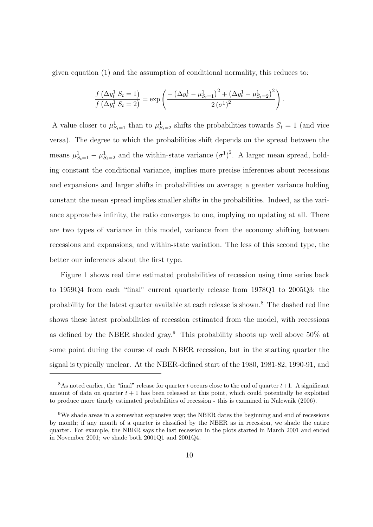given equation (1) and the assumption of conditional normality, this reduces to:

$$
\frac{f(\Delta y_t^1 | S_t = 1)}{f(\Delta y_t^1 | S_t = 2)} = \exp\left(\frac{-(\Delta y_t^1 - \mu_{S_t=1}^1)^2 + (\Delta y_t^1 - \mu_{S_t=2}^1)^2}{2(\sigma^1)^2}\right).
$$

A value closer to  $\mu_{S_t=1}^1$  than to  $\mu_{S_t=2}^1$  shifts the probabilities towards  $S_t = 1$  (and vice versa). The degree to which the probabilities shift depends on the spread between the means  $\mu_{S_t=1}^1 - \mu_{S_t=2}^1$  and the within-state variance  $(\sigma^1)^2$ . A larger mean spread, holding constant the conditional variance, implies more precise inferences about recessions and expansions and larger shifts in probabilities on average; a greater variance holding constant the mean spread implies smaller shifts in the probabilities. Indeed, as the variance approaches infinity, the ratio converges to one, implying no updating at all. There are two types of variance in this model, variance from the economy shifting between recessions and expansions, and within-state variation. The less of this second type, the better our inferences about the first type.

Figure 1 shows real time estimated probabilities of recession using time series back to 1959Q4 from each "final" current quarterly release from 1978Q1 to 2005Q3; the probability for the latest quarter available at each release is shown.<sup>8</sup> The dashed red line shows these latest probabilities of recession estimated from the model, with recessions as defined by the NBER shaded gray.<sup>9</sup> This probability shoots up well above  $50\%$  at some point during the course of each NBER recession, but in the starting quarter the signal is typically unclear. At the NBER-defined start of the 1980, 1981-82, 1990-91, and

<sup>&</sup>lt;sup>8</sup>As noted earlier, the "final" release for quarter t occurs close to the end of quarter  $t+1$ . A significant amount of data on quarter  $t + 1$  has been released at this point, which could potentially be exploited to produce more timely estimated probabilities of recession - this is examined in Nalewaik (2006).

<sup>9</sup>We shade areas in a somewhat expansive way; the NBER dates the beginning and end of recessions by month; if any month of a quarter is classified by the NBER as in recession, we shade the entire quarter. For example, the NBER says the last recession in the plots started in March 2001 and ended in November 2001; we shade both 2001Q1 and 2001Q4.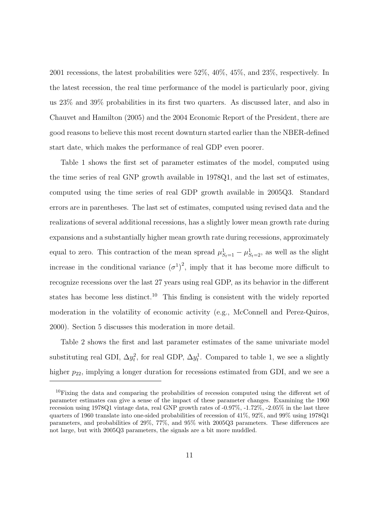2001 recessions, the latest probabilities were 52%, 40%, 45%, and 23%, respectively. In the latest recession, the real time performance of the model is particularly poor, giving us 23% and 39% probabilities in its first two quarters. As discussed later, and also in Chauvet and Hamilton (2005) and the 2004 Economic Report of the President, there are good reasons to believe this most recent downturn started earlier than the NBER-defined start date, which makes the performance of real GDP even poorer.

Table 1 shows the first set of parameter estimates of the model, computed using the time series of real GNP growth available in 1978Q1, and the last set of estimates, computed using the time series of real GDP growth available in 2005Q3. Standard errors are in parentheses. The last set of estimates, computed using revised data and the realizations of several additional recessions, has a slightly lower mean growth rate during expansions and a substantially higher mean growth rate during recessions, approximately equal to zero. This contraction of the mean spread  $\mu_{S_t=1}^1 - \mu_{S_t=2}^1$ , as well as the slight increase in the conditional variance  $(\sigma^1)^2$ , imply that it has become more difficult to recognize recessions over the last 27 years using real GDP, as its behavior in the different states has become less distinct.<sup>10</sup> This finding is consistent with the widely reported moderation in the volatility of economic activity (e.g., McConnell and Perez-Quiros, 2000). Section 5 discusses this moderation in more detail.

Table 2 shows the first and last parameter estimates of the same univariate model substituting real GDI,  $\Delta y_t^2$ , for real GDP,  $\Delta y_t^1$ . Compared to table 1, we see a slightly higher  $p_{22}$ , implying a longer duration for recessions estimated from GDI, and we see a

<sup>&</sup>lt;sup>10</sup>Fixing the data and comparing the probabilities of recession computed using the different set of parameter estimates can give a sense of the impact of these parameter changes. Examining the 1960 recession using 1978Q1 vintage data, real GNP growth rates of -0.97%, -1.72%, -2.05% in the last three quarters of 1960 translate into one-sided probabilities of recession of 41%, 92%, and 99% using 1978Q1 parameters, and probabilities of 29%, 77%, and 95% with 2005Q3 parameters. These differences are not large, but with 2005Q3 parameters, the signals are a bit more muddled.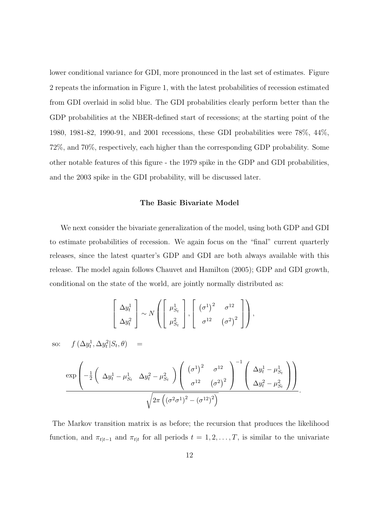lower conditional variance for GDI, more pronounced in the last set of estimates. Figure 2 repeats the information in Figure 1, with the latest probabilities of recession estimated from GDI overlaid in solid blue. The GDI probabilities clearly perform better than the GDP probabilities at the NBER-defined start of recessions; at the starting point of the 1980, 1981-82, 1990-91, and 2001 recessions, these GDI probabilities were 78%, 44%, 72%, and 70%, respectively, each higher than the corresponding GDP probability. Some other notable features of this figure - the 1979 spike in the GDP and GDI probabilities, and the 2003 spike in the GDI probability, will be discussed later.

### The Basic Bivariate Model

We next consider the bivariate generalization of the model, using both GDP and GDI to estimate probabilities of recession. We again focus on the "final" current quarterly releases, since the latest quarter's GDP and GDI are both always available with this release. The model again follows Chauvet and Hamilton (2005); GDP and GDI growth, conditional on the state of the world, are jointly normally distributed as:

$$
\left[\begin{array}{c}\Delta y_t^1\\ \Delta y_t^2\end{array}\right] \sim N\left(\left[\begin{array}{c}\mu_{S_t}^1\\ \mu_{S_t}^2\end{array}\right], \left[\begin{array}{cc}(\sigma^1)^2 & \sigma^{12}\\ \sigma^{12} & (\sigma^2)^2\end{array}\right]\right),
$$
  
so:  $f(\Delta y_t^1, \Delta y_t^2 | S_t, \theta) =$   

$$
\exp\left(-\frac{1}{2}\left(\Delta y_t^1 - \mu_{S_t}^1 \Delta y_t^2 - \mu_{S_t}^2\right)\left(\begin{array}{c}(\sigma^1)^2 & \sigma^{12}\\ \sigma^{12} & (\sigma^2)^2\end{array}\right)^{-1}\left(\begin{array}{c}\Delta y_t^1 - \mu_{S_t}^1\\ \Delta y_t^2 - \mu_{S_t}^2\end{array}\right)\right)
$$

$$
\sqrt{2\pi\left((\sigma^2\sigma^1)^2 - (\sigma^{12})^2\right)}
$$

The Markov transition matrix is as before; the recursion that produces the likelihood function, and  $\pi_{t|t-1}$  and  $\pi_{t|t}$  for all periods  $t = 1, 2, \ldots, T$ , is similar to the univariate

.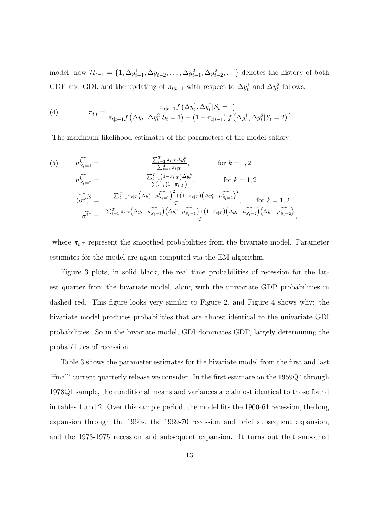model; now  $\mathcal{H}_{t-1} = \{1, \Delta y_{t-1}^1, \Delta y_{t-2}^1, \ldots, \Delta y_{t-1}^2, \Delta y_{t-2}^2, \ldots\}$  denotes the history of both GDP and GDI, and the updating of  $\pi_{t|t-1}$  with respect to  $\Delta y_t^1$  and  $\Delta y_t^2$  follows:

(4) 
$$
\pi_{t|t} = \frac{\pi_{t|t-1} f\left(\Delta y_t^1, \Delta y_t^2 | S_t = 1\right)}{\pi_{t|t-1} f\left(\Delta y_t^1, \Delta y_t^2 | S_t = 1\right) + \left(1 - \pi_{t|t-1}\right) f\left(\Delta y_t^1, \Delta y_t^2 | S_t = 2\right)}.
$$

The maximum likelihood estimates of the parameters of the model satisfy:

(5) 
$$
\widehat{\mu_{S_t=1}^k} = \frac{\sum_{t=1}^T \pi_t \Gamma \Delta y_t^k}{\sum_{t=1}^T \pi_t \Gamma}, \quad \text{for } k = 1, 2
$$

$$
\widehat{\mu_{S_t=2}^k} = \frac{\sum_{t=1}^T (1 - \pi_t \Gamma) \Delta y_t^k}{\sum_{t=1}^T (1 - \pi_t \Gamma)} \quad \text{for } k = 1, 2
$$

$$
(\widehat{\sigma^k})^2 = \frac{\sum_{t=1}^T \pi_t \Gamma(\Delta y_t^k - \widehat{\mu_{S_t=1}^k})^2 + (1 - \pi_t \Gamma) (\Delta y_t^k - \widehat{\mu_{S_t=2}^k})^2}{T}, \quad \text{for } k = 1, 2
$$

$$
\widehat{\sigma^{12}} = \frac{\sum_{t=1}^T \pi_t \Gamma(\Delta y_t^1 - \widehat{\mu_{S_t=1}^k}) (\Delta y_t^2 - \widehat{\mu_{S_t=1}^k}) + (1 - \pi_t \Gamma) (\Delta y_t^1 - \widehat{\mu_{S_t=2}^k}) (\Delta y_t^2 - \widehat{\mu_{S_t=2}^k})}{T},
$$

where  $\pi_{t|T}$  represent the smoothed probabilities from the bivariate model. Parameter estimates for the model are again computed via the EM algorithm.

Figure 3 plots, in solid black, the real time probabilities of recession for the latest quarter from the bivariate model, along with the univariate GDP probabilities in dashed red. This figure looks very similar to Figure 2, and Figure 4 shows why: the bivariate model produces probabilities that are almost identical to the univariate GDI probabilities. So in the bivariate model, GDI dominates GDP, largely determining the probabilities of recession.

Table 3 shows the parameter estimates for the bivariate model from the first and last "final" current quarterly release we consider. In the first estimate on the 1959Q4 through 1978Q1 sample, the conditional means and variances are almost identical to those found in tables 1 and 2. Over this sample period, the model fits the 1960-61 recession, the long expansion through the 1960s, the 1969-70 recession and brief subsequent expansion, and the 1973-1975 recession and subsequent expansion. It turns out that smoothed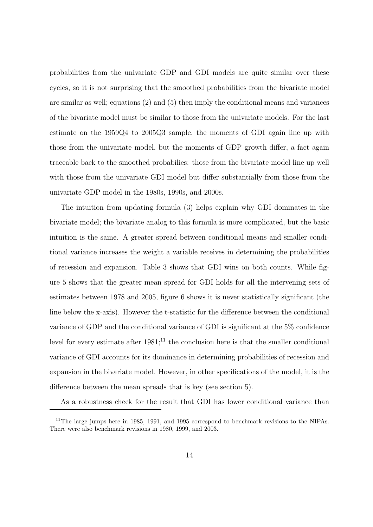probabilities from the univariate GDP and GDI models are quite similar over these cycles, so it is not surprising that the smoothed probabilities from the bivariate model are similar as well; equations (2) and (5) then imply the conditional means and variances of the bivariate model must be similar to those from the univariate models. For the last estimate on the 1959Q4 to 2005Q3 sample, the moments of GDI again line up with those from the univariate model, but the moments of GDP growth differ, a fact again traceable back to the smoothed probabilies: those from the bivariate model line up well with those from the univariate GDI model but differ substantially from those from the univariate GDP model in the 1980s, 1990s, and 2000s.

The intuition from updating formula (3) helps explain why GDI dominates in the bivariate model; the bivariate analog to this formula is more complicated, but the basic intuition is the same. A greater spread between conditional means and smaller conditional variance increases the weight a variable receives in determining the probabilities of recession and expansion. Table 3 shows that GDI wins on both counts. While figure 5 shows that the greater mean spread for GDI holds for all the intervening sets of estimates between 1978 and 2005, figure 6 shows it is never statistically significant (the line below the x-axis). However the t-statistic for the difference between the conditional variance of GDP and the conditional variance of GDI is significant at the 5% confidence level for every estimate after  $1981$ ;<sup>11</sup> the conclusion here is that the smaller conditional variance of GDI accounts for its dominance in determining probabilities of recession and expansion in the bivariate model. However, in other specifications of the model, it is the difference between the mean spreads that is key (see section 5).

As a robustness check for the result that GDI has lower conditional variance than

<sup>&</sup>lt;sup>11</sup>The large jumps here in 1985, 1991, and 1995 correspond to benchmark revisions to the NIPAs. There were also benchmark revisions in 1980, 1999, and 2003.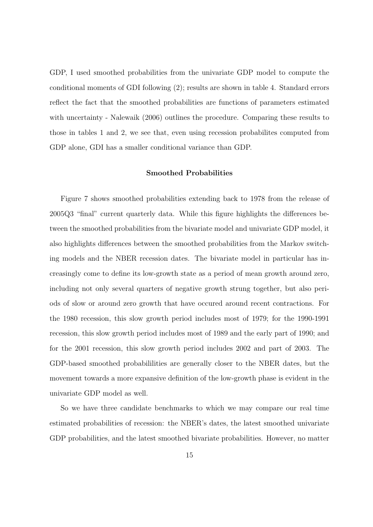GDP, I used smoothed probabilities from the univariate GDP model to compute the conditional moments of GDI following (2); results are shown in table 4. Standard errors reflect the fact that the smoothed probabilities are functions of parameters estimated with uncertainty - Nalewaik (2006) outlines the procedure. Comparing these results to those in tables 1 and 2, we see that, even using recession probabilites computed from GDP alone, GDI has a smaller conditional variance than GDP.

### Smoothed Probabilities

Figure 7 shows smoothed probabilities extending back to 1978 from the release of 2005Q3 "final" current quarterly data. While this figure highlights the differences between the smoothed probabilities from the bivariate model and univariate GDP model, it also highlights differences between the smoothed probabilities from the Markov switching models and the NBER recession dates. The bivariate model in particular has increasingly come to define its low-growth state as a period of mean growth around zero, including not only several quarters of negative growth strung together, but also periods of slow or around zero growth that have occured around recent contractions. For the 1980 recession, this slow growth period includes most of 1979; for the 1990-1991 recession, this slow growth period includes most of 1989 and the early part of 1990; and for the 2001 recession, this slow growth period includes 2002 and part of 2003. The GDP-based smoothed probabililities are generally closer to the NBER dates, but the movement towards a more expansive definition of the low-growth phase is evident in the univariate GDP model as well.

So we have three candidate benchmarks to which we may compare our real time estimated probabilities of recession: the NBER's dates, the latest smoothed univariate GDP probabilities, and the latest smoothed bivariate probabilities. However, no matter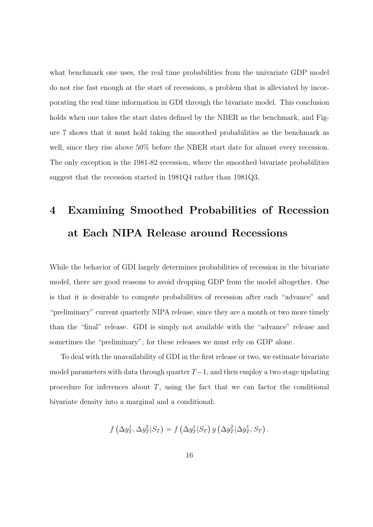what benchmark one uses, the real time probabilities from the univariate GDP model do not rise fast enough at the start of recessions, a problem that is alleviated by incorporating the real time information in GDI through the bivariate model. This conclusion holds when one takes the start dates defined by the NBER as the benchmark, and Figure 7 shows that it must hold taking the smoothed probabilities as the benchmark as well, since they rise above 50% before the NBER start date for almost every recession. The only exception is the 1981-82 recession, where the smoothed bivariate probabilities suggest that the recession started in 1981Q4 rather than 1981Q3.

# 4 Examining Smoothed Probabilities of Recession at Each NIPA Release around Recessions

While the behavior of GDI largely determines probabilities of recession in the bivariate model, there are good reasons to avoid dropping GDP from the model altogether. One is that it is desirable to compute probabilities of recession after each "advance" and "preliminary" current quarterly NIPA release, since they are a month or two more timely than the "final" release. GDI is simply not available with the "advance" release and sometimes the "preliminary"; for these releases we must rely on GDP alone.

To deal with the unavailability of GDI in the first release or two, we estimate bivariate model parameters with data through quarter  $T-1$ , and then employ a two stage updating procedure for inferences about  $T$ , using the fact that we can factor the conditional bivariate density into a marginal and a conditional:

$$
f\left(\Delta y_T^1, \Delta y_T^2 | S_T\right) = f\left(\Delta y_T^1 | S_T\right) g\left(\Delta y_T^2 | \Delta y_T^1, S_T\right).
$$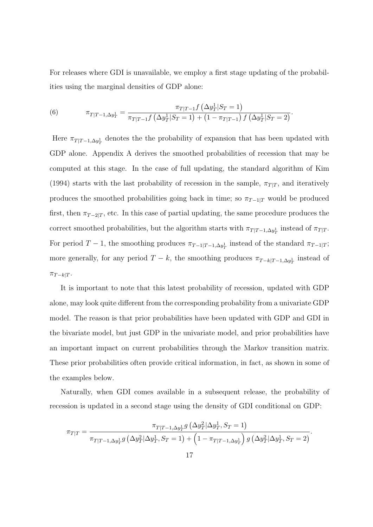For releases where GDI is unavailable, we employ a first stage updating of the probabilities using the marginal densities of GDP alone:

(6) 
$$
\pi_{T|T-1,\Delta y_T^1} = \frac{\pi_{T|T-1}f(\Delta y_T^1|S_T=1)}{\pi_{T|T-1}f(\Delta y_T^1|S_T=1) + (1 - \pi_{T|T-1})f(\Delta y_T^1|S_T=2)}.
$$

Here  $\pi_{T|T-1,\Delta y_T^1}$  denotes the the probability of expansion that has been updated with GDP alone. Appendix A derives the smoothed probabilities of recession that may be computed at this stage. In the case of full updating, the standard algorithm of Kim (1994) starts with the last probability of recession in the sample,  $\pi_{T|T}$ , and iteratively produces the smoothed probabilities going back in time; so  $\pi_{T-1|T}$  would be produced first, then  $\pi_{T-2|T}$ , etc. In this case of partial updating, the same procedure produces the correct smoothed probabilities, but the algorithm starts with  $\pi_{T|T-1,\Delta y^1_T}$  instead of  $\pi_{T|T}$ . For period  $T-1$ , the smoothing produces  $\pi_{T-1|T-1,\Delta y_T^1}$  instead of the standard  $\pi_{T-1|T}$ ; more generally, for any period  $T - k$ , the smoothing produces  $\pi_{T-k|T-1,\Delta y_T^1}$  instead of  $\pi_{T-k|T}$ .

It is important to note that this latest probability of recession, updated with GDP alone, may look quite different from the corresponding probability from a univariate GDP model. The reason is that prior probabilities have been updated with GDP and GDI in the bivariate model, but just GDP in the univariate model, and prior probabilities have an important impact on current probabilities through the Markov transition matrix. These prior probabilities often provide critical information, in fact, as shown in some of the examples below.

Naturally, when GDI comes available in a subsequent release, the probability of recession is updated in a second stage using the density of GDI conditional on GDP:

$$
\pi_{T|T} = \frac{\pi_{T|T-1,\Delta y_T^1} g\left(\Delta y_T^2 | \Delta y_T^1, S_T = 1\right)}{\pi_{T|T-1,\Delta y_T^1} g\left(\Delta y_T^2 | \Delta y_T^1, S_T = 1\right) + \left(1 - \pi_{T|T-1,\Delta y_T^1}\right) g\left(\Delta y_T^2 | \Delta y_T^1, S_T = 2\right)}.
$$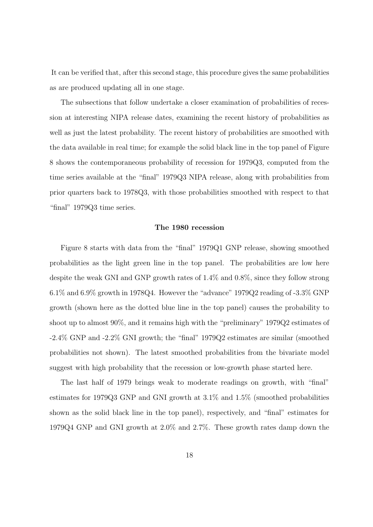It can be verified that, after this second stage, this procedure gives the same probabilities as are produced updating all in one stage.

The subsections that follow undertake a closer examination of probabilities of recession at interesting NIPA release dates, examining the recent history of probabilities as well as just the latest probability. The recent history of probabilities are smoothed with the data available in real time; for example the solid black line in the top panel of Figure 8 shows the contemporaneous probability of recession for 1979Q3, computed from the time series available at the "final" 1979Q3 NIPA release, along with probabilities from prior quarters back to 1978Q3, with those probabilities smoothed with respect to that "final" 1979Q3 time series.

#### The 1980 recession

Figure 8 starts with data from the "final" 1979Q1 GNP release, showing smoothed probabilities as the light green line in the top panel. The probabilities are low here despite the weak GNI and GNP growth rates of 1.4% and 0.8%, since they follow strong  $6.1\%$  and  $6.9\%$  growth in 1978Q4. However the "advance" 1979Q2 reading of  $-3.3\%$  GNP growth (shown here as the dotted blue line in the top panel) causes the probability to shoot up to almost 90%, and it remains high with the "preliminary" 1979Q2 estimates of -2.4% GNP and -2.2% GNI growth; the "final" 1979Q2 estimates are similar (smoothed probabilities not shown). The latest smoothed probabilities from the bivariate model suggest with high probability that the recession or low-growth phase started here.

The last half of 1979 brings weak to moderate readings on growth, with "final" estimates for 1979Q3 GNP and GNI growth at 3.1% and 1.5% (smoothed probabilities shown as the solid black line in the top panel), respectively, and "final" estimates for 1979Q4 GNP and GNI growth at 2.0% and 2.7%. These growth rates damp down the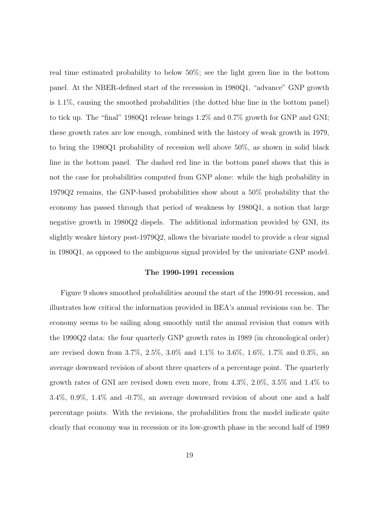real time estimated probability to below 50%; see the light green line in the bottom panel. At the NBER-defined start of the recesssion in 1980Q1, "advance" GNP growth is 1.1%, causing the smoothed probabilities (the dotted blue line in the bottom panel) to tick up. The "final" 1980Q1 release brings 1.2% and 0.7% growth for GNP and GNI; these growth rates are low enough, combined with the history of weak growth in 1979, to bring the 1980Q1 probability of recession well above 50%, as shown in solid black line in the bottom panel. The dashed red line in the bottom panel shows that this is not the case for probabilities computed from GNP alone: while the high probability in 1979Q2 remains, the GNP-based probabilities show about a 50% probability that the economy has passed through that period of weakness by 1980Q1, a notion that large negative growth in 1980Q2 dispels. The additional information provided by GNI, its slightly weaker history post-1979Q2, allows the bivariate model to provide a clear signal in 1980Q1, as opposed to the ambiguous signal provided by the univariate GNP model.

### The 1990-1991 recession

Figure 9 shows smoothed probabilities around the start of the 1990-91 recession, and illustrates how critical the information provided in BEA's annual revisions can be. The economy seems to be sailing along smoothly until the annual revision that comes with the 1990Q2 data: the four quarterly GNP growth rates in 1989 (in chronological order) are revised down from 3.7%, 2.5%, 3.0% and 1.1% to 3.6%, 1.6%, 1.7% and 0.3%, an average downward revision of about three quarters of a percentage point. The quarterly growth rates of GNI are revised down even more, from 4.3%, 2.0%, 3.5% and 1.4% to 3.4%, 0.9%, 1.4% and -0.7%, an average downward revision of about one and a half percentage points. With the revisions, the probabilities from the model indicate quite clearly that economy was in recession or its low-growth phase in the second half of 1989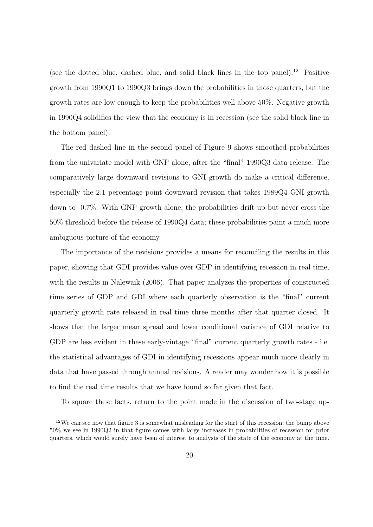(see the dotted blue, dashed blue, and solid black lines in the top panel).<sup>12</sup> Positive growth from 1990Q1 to 1990Q3 brings down the probabilities in those quarters, but the growth rates are low enough to keep the probabilities well above 50%. Negative growth in 1990Q4 solidifies the view that the economy is in recession (see the solid black line in the bottom panel).

The red dashed line in the second panel of Figure 9 shows smoothed probabilities from the univariate model with GNP alone, after the "final" 1990Q3 data release. The comparatively large downward revisions to GNI growth do make a critical difference, especially the 2.1 percentage point downward revision that takes 1989Q4 GNI growth down to -0.7%. With GNP growth alone, the probabilities drift up but never cross the 50% threshold before the release of 1990Q4 data; these probabilities paint a much more ambiguous picture of the economy.

The importance of the revisions provides a means for reconciling the results in this paper, showing that GDI provides value over GDP in identifying recession in real time, with the results in Nalewaik (2006). That paper analyzes the properties of constructed time series of GDP and GDI where each quarterly observation is the "final" current quarterly growth rate released in real time three months after that quarter closed. It shows that the larger mean spread and lower conditional variance of GDI relative to GDP are less evident in these early-vintage "final" current quarterly growth rates - i.e. the statistical advantages of GDI in identifying recessions appear much more clearly in data that have passed through annual revisions. A reader may wonder how it is possible to find the real time results that we have found so far given that fact.

To square these facts, return to the point made in the discussion of two-stage up-

 $12$ We can see now that figure 3 is somewhat misleading for the start of this recession; the bump above 50% we see in 1990Q2 in that figure comes with large increases in probabilities of recession for prior quarters, which would surely have been of interest to analysts of the state of the economy at the time.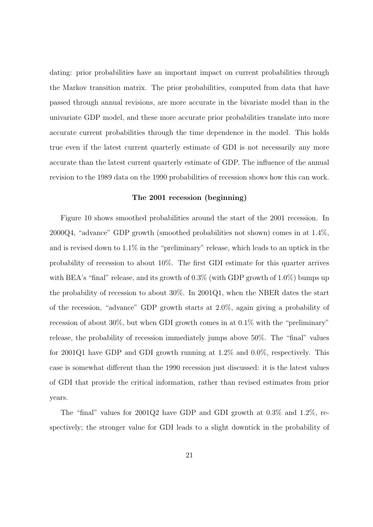dating: prior probabilities have an important impact on current probabilities through the Markov transition matrix. The prior probabilities, computed from data that have passed through annual revisions, are more accurate in the bivariate model than in the univariate GDP model, and these more accurate prior probabilities translate into more accurate current probabilities through the time dependence in the model. This holds true even if the latest current quarterly estimate of GDI is not necessarily any more accurate than the latest current quarterly estimate of GDP. The influence of the annual revision to the 1989 data on the 1990 probabilities of recession shows how this can work.

#### The 2001 recession (beginning)

Figure 10 shows smoothed probabilities around the start of the 2001 recession. In 2000Q4, "advance" GDP growth (smoothed probabilities not shown) comes in at 1.4%, and is revised down to 1.1% in the "preliminary" release, which leads to an uptick in the probability of recession to about 10%. The first GDI estimate for this quarter arrives with BEA's "final" release, and its growth of  $0.3\%$  (with GDP growth of 1.0%) bumps up the probability of recession to about 30%. In 2001Q1, when the NBER dates the start of the recession, "advance" GDP growth starts at 2.0%, again giving a probability of recession of about 30%, but when GDI growth comes in at 0.1% with the "preliminary" release, the probability of recession immediately jumps above 50%. The "final" values for 2001Q1 have GDP and GDI growth running at 1.2% and 0.0%, respectively. This case is somewhat different than the 1990 recession just discussed: it is the latest values of GDI that provide the critical information, rather than revised estimates from prior years.

The "final" values for 2001Q2 have GDP and GDI growth at 0.3% and 1.2%, respectively; the stronger value for GDI leads to a slight downtick in the probability of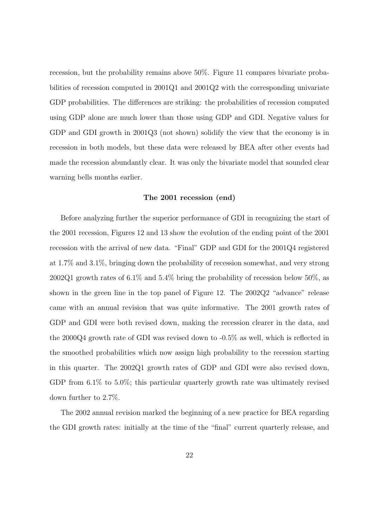recession, but the probability remains above 50%. Figure 11 compares bivariate probabilities of recession computed in 2001Q1 and 2001Q2 with the corresponding univariate GDP probabilities. The differences are striking: the probabilities of recession computed using GDP alone are much lower than those using GDP and GDI. Negative values for GDP and GDI growth in 2001Q3 (not shown) solidify the view that the economy is in recession in both models, but these data were released by BEA after other events had made the recession abundantly clear. It was only the bivariate model that sounded clear warning bells months earlier.

#### The 2001 recession (end)

Before analyzing further the superior performance of GDI in recognizing the start of the 2001 recession, Figures 12 and 13 show the evolution of the ending point of the 2001 recession with the arrival of new data. "Final" GDP and GDI for the 2001Q4 registered at 1.7% and 3.1%, bringing down the probability of recession somewhat, and very strong 2002Q1 growth rates of 6.1% and 5.4% bring the probability of recession below 50%, as shown in the green line in the top panel of Figure 12. The 2002Q2 "advance" release came with an annual revision that was quite informative. The 2001 growth rates of GDP and GDI were both revised down, making the recession clearer in the data, and the 2000Q4 growth rate of GDI was revised down to -0.5% as well, which is reflected in the smoothed probabilities which now assign high probability to the recession starting in this quarter. The 2002Q1 growth rates of GDP and GDI were also revised down, GDP from 6.1% to 5.0%; this particular quarterly growth rate was ultimately revised down further to 2.7%.

The 2002 annual revision marked the beginning of a new practice for BEA regarding the GDI growth rates: initially at the time of the "final" current quarterly release, and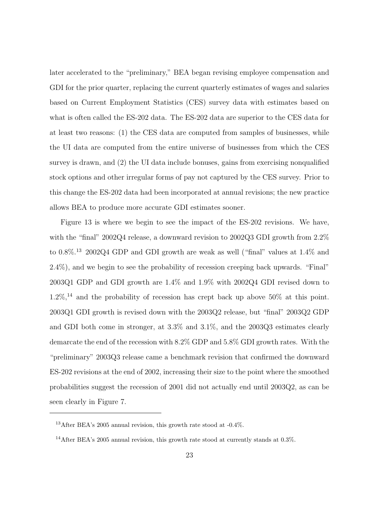later accelerated to the "preliminary," BEA began revising employee compensation and GDI for the prior quarter, replacing the current quarterly estimates of wages and salaries based on Current Employment Statistics (CES) survey data with estimates based on what is often called the ES-202 data. The ES-202 data are superior to the CES data for at least two reasons: (1) the CES data are computed from samples of businesses, while the UI data are computed from the entire universe of businesses from which the CES survey is drawn, and (2) the UI data include bonuses, gains from exercising nonqualified stock options and other irregular forms of pay not captured by the CES survey. Prior to this change the ES-202 data had been incorporated at annual revisions; the new practice allows BEA to produce more accurate GDI estimates sooner.

Figure 13 is where we begin to see the impact of the ES-202 revisions. We have, with the "final" 2002Q4 release, a downward revision to 2002Q3 GDI growth from 2.2% to 0.8%.<sup>13</sup> 2002Q4 GDP and GDI growth are weak as well ("final" values at 1.4% and 2.4%), and we begin to see the probability of recession creeping back upwards. "Final" 2003Q1 GDP and GDI growth are 1.4% and 1.9% with 2002Q4 GDI revised down to  $1.2\%,^{14}$  and the probability of recession has crept back up above 50% at this point. 2003Q1 GDI growth is revised down with the 2003Q2 release, but "final" 2003Q2 GDP and GDI both come in stronger, at 3.3% and 3.1%, and the 2003Q3 estimates clearly demarcate the end of the recession with 8.2% GDP and 5.8% GDI growth rates. With the "preliminary" 2003Q3 release came a benchmark revision that confirmed the downward ES-202 revisions at the end of 2002, increasing their size to the point where the smoothed probabilities suggest the recession of 2001 did not actually end until 2003Q2, as can be seen clearly in Figure 7.

<sup>&</sup>lt;sup>13</sup>After BEA's 2005 annual revision, this growth rate stood at  $-0.4\%$ .

<sup>14</sup>After BEA's 2005 annual revision, this growth rate stood at currently stands at 0.3%.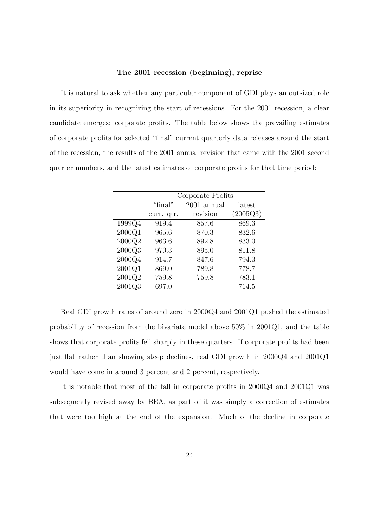#### The 2001 recession (beginning), reprise

It is natural to ask whether any particular component of GDI plays an outsized role in its superiority in recognizing the start of recessions. For the 2001 recession, a clear candidate emerges: corporate profits. The table below shows the prevailing estimates of corporate profits for selected "final" current quarterly data releases around the start of the recession, the results of the 2001 annual revision that came with the 2001 second quarter numbers, and the latest estimates of corporate profits for that time period:

|        |            | Corporate Profits |          |  |  |  |  |  |
|--------|------------|-------------------|----------|--|--|--|--|--|
|        | "final"    | 2001 annual       | latest   |  |  |  |  |  |
|        | curr. qtr. | revision          | (2005Q3) |  |  |  |  |  |
| 1999Q4 | 919.4      | 857.6             | 869.3    |  |  |  |  |  |
| 2000Q1 | 965.6      | 870.3             | 832.6    |  |  |  |  |  |
| 2000Q2 | 963.6      | 892.8             | 833.0    |  |  |  |  |  |
| 2000Q3 | 970.3      | 895.0             | 811.8    |  |  |  |  |  |
| 2000Q4 | 914.7      | 847.6             | 794.3    |  |  |  |  |  |
| 2001Q1 | 869.0      | 789.8             | 778.7    |  |  |  |  |  |
| 2001Q2 | 759.8      | 759.8             | 783.1    |  |  |  |  |  |
| 2001Q3 | 697.0      |                   | 714.5    |  |  |  |  |  |

Real GDI growth rates of around zero in 2000Q4 and 2001Q1 pushed the estimated probability of recession from the bivariate model above 50% in 2001Q1, and the table shows that corporate profits fell sharply in these quarters. If corporate profits had been just flat rather than showing steep declines, real GDI growth in 2000Q4 and 2001Q1 would have come in around 3 percent and 2 percent, respectively.

It is notable that most of the fall in corporate profits in 2000Q4 and 2001Q1 was subsequently revised away by BEA, as part of it was simply a correction of estimates that were too high at the end of the expansion. Much of the decline in corporate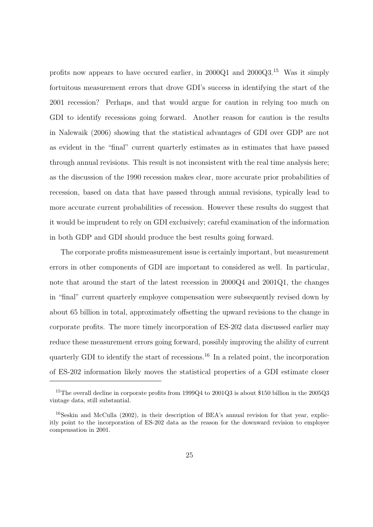profits now appears to have occured earlier, in 2000Q1 and 2000Q3.<sup>15</sup> Was it simply fortuitous measurement errors that drove GDI's success in identifying the start of the 2001 recession? Perhaps, and that would argue for caution in relying too much on GDI to identify recessions going forward. Another reason for caution is the results in Nalewaik (2006) showing that the statistical advantages of GDI over GDP are not as evident in the "final" current quarterly estimates as in estimates that have passed through annual revisions. This result is not inconsistent with the real time analysis here; as the discussion of the 1990 recession makes clear, more accurate prior probabilities of recession, based on data that have passed through annual revisions, typically lead to more accurate current probabilities of recession. However these results do suggest that it would be imprudent to rely on GDI exclusively; careful examination of the information in both GDP and GDI should produce the best results going forward.

The corporate profits mismeasurement issue is certainly important, but measurement errors in other components of GDI are important to considered as well. In particular, note that around the start of the latest recession in 2000Q4 and 2001Q1, the changes in "final" current quarterly employee compensation were subsequently revised down by about 65 billion in total, approximately offsetting the upward revisions to the change in corporate profits. The more timely incorporation of ES-202 data discussed earlier may reduce these measurement errors going forward, possibly improving the ability of current quarterly GDI to identify the start of recessions.<sup>16</sup> In a related point, the incorporation of ES-202 information likely moves the statistical properties of a GDI estimate closer

<sup>&</sup>lt;sup>15</sup>The overall decline in corporate profits from 1999Q4 to 2001Q3 is about \$150 billion in the 2005Q3 vintage data, still substantial.

 $16$ Seskin and McCulla (2002), in their description of BEA's annual revision for that year, explicitly point to the incorporation of ES-202 data as the reason for the downward revision to employee compensation in 2001.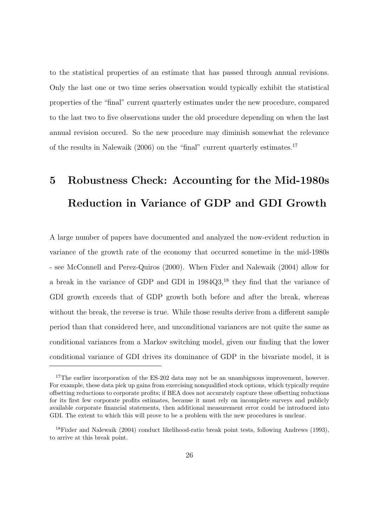to the statistical properties of an estimate that has passed through annual revisions. Only the last one or two time series observation would typically exhibit the statistical properties of the "final" current quarterly estimates under the new procedure, compared to the last two to five observations under the old procedure depending on when the last annual revision occured. So the new procedure may diminish somewhat the relevance of the results in Nalewaik  $(2006)$  on the "final" current quarterly estimates.<sup>17</sup>

# 5 Robustness Check: Accounting for the Mid-1980s Reduction in Variance of GDP and GDI Growth

A large number of papers have documented and analyzed the now-evident reduction in variance of the growth rate of the economy that occurred sometime in the mid-1980s - see McConnell and Perez-Quiros (2000). When Fixler and Nalewaik (2004) allow for a break in the variance of GDP and GDI in 1984Q3,<sup>18</sup> they find that the variance of GDI growth exceeds that of GDP growth both before and after the break, whereas without the break, the reverse is true. While those results derive from a different sample period than that considered here, and unconditional variances are not quite the same as conditional variances from a Markov switching model, given our finding that the lower conditional variance of GDI drives its dominance of GDP in the bivariate model, it is

<sup>&</sup>lt;sup>17</sup>The earlier incorporation of the ES-202 data may not be an unambiguous improvement, however. For example, these data pick up gains from exercising nonqualified stock options, which typically require offsetting reductions to corporate profits; if BEA does not accurately capture these offsetting reductions for its first few corporate profits estimates, because it must rely on incomplete surveys and publicly available corporate financial statements, then additional measurement error could be introduced into GDI. The extent to which this will prove to be a problem with the new procedures is unclear.

<sup>18</sup>Fixler and Nalewaik (2004) conduct likelihood-ratio break point tests, following Andrews (1993), to arrive at this break point.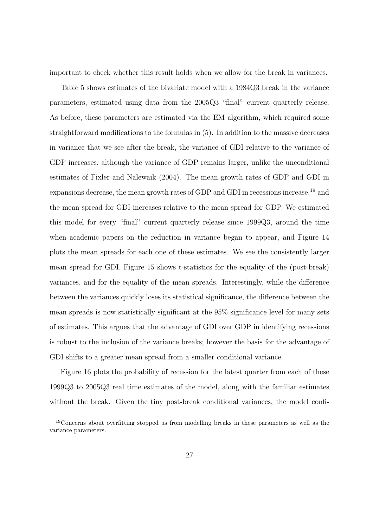important to check whether this result holds when we allow for the break in variances.

Table 5 shows estimates of the bivariate model with a 1984Q3 break in the variance parameters, estimated using data from the 2005Q3 "final" current quarterly release. As before, these parameters are estimated via the EM algorithm, which required some straightforward modifications to the formulas in (5). In addition to the massive decreases in variance that we see after the break, the variance of GDI relative to the variance of GDP increases, although the variance of GDP remains larger, unlike the unconditional estimates of Fixler and Nalewaik (2004). The mean growth rates of GDP and GDI in expansions decrease, the mean growth rates of GDP and GDI in recessions increase,<sup>19</sup> and the mean spread for GDI increases relative to the mean spread for GDP. We estimated this model for every "final" current quarterly release since 1999Q3, around the time when academic papers on the reduction in variance began to appear, and Figure 14 plots the mean spreads for each one of these estimates. We see the consistently larger mean spread for GDI. Figure 15 shows t-statistics for the equality of the (post-break) variances, and for the equality of the mean spreads. Interestingly, while the difference between the variances quickly loses its statistical significance, the difference between the mean spreads is now statistically significant at the 95% significance level for many sets of estimates. This argues that the advantage of GDI over GDP in identifying recessions is robust to the inclusion of the variance breaks; however the basis for the advantage of GDI shifts to a greater mean spread from a smaller conditional variance.

Figure 16 plots the probability of recession for the latest quarter from each of these 1999Q3 to 2005Q3 real time estimates of the model, along with the familiar estimates without the break. Given the tiny post-break conditional variances, the model confi-

<sup>&</sup>lt;sup>19</sup>Concerns about overfitting stopped us from modelling breaks in these parameters as well as the variance parameters.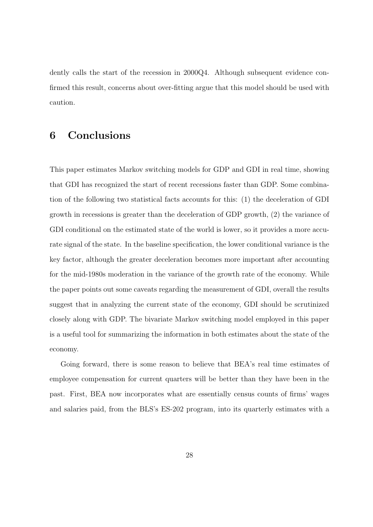dently calls the start of the recession in 2000Q4. Although subsequent evidence confirmed this result, concerns about over-fitting argue that this model should be used with caution.

# 6 Conclusions

This paper estimates Markov switching models for GDP and GDI in real time, showing that GDI has recognized the start of recent recessions faster than GDP. Some combination of the following two statistical facts accounts for this: (1) the deceleration of GDI growth in recessions is greater than the deceleration of GDP growth, (2) the variance of GDI conditional on the estimated state of the world is lower, so it provides a more accurate signal of the state. In the baseline specification, the lower conditional variance is the key factor, although the greater deceleration becomes more important after accounting for the mid-1980s moderation in the variance of the growth rate of the economy. While the paper points out some caveats regarding the measurement of GDI, overall the results suggest that in analyzing the current state of the economy, GDI should be scrutinized closely along with GDP. The bivariate Markov switching model employed in this paper is a useful tool for summarizing the information in both estimates about the state of the economy.

Going forward, there is some reason to believe that BEA's real time estimates of employee compensation for current quarters will be better than they have been in the past. First, BEA now incorporates what are essentially census counts of firms' wages and salaries paid, from the BLS's ES-202 program, into its quarterly estimates with a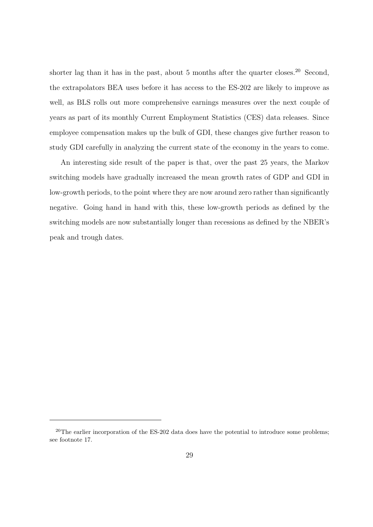shorter lag than it has in the past, about 5 months after the quarter closes.<sup>20</sup> Second, the extrapolators BEA uses before it has access to the ES-202 are likely to improve as well, as BLS rolls out more comprehensive earnings measures over the next couple of years as part of its monthly Current Employment Statistics (CES) data releases. Since employee compensation makes up the bulk of GDI, these changes give further reason to study GDI carefully in analyzing the current state of the economy in the years to come.

An interesting side result of the paper is that, over the past 25 years, the Markov switching models have gradually increased the mean growth rates of GDP and GDI in low-growth periods, to the point where they are now around zero rather than significantly negative. Going hand in hand with this, these low-growth periods as defined by the switching models are now substantially longer than recessions as defined by the NBER's peak and trough dates.

 $20$ The earlier incorporation of the ES-202 data does have the potential to introduce some problems; see footnote 17.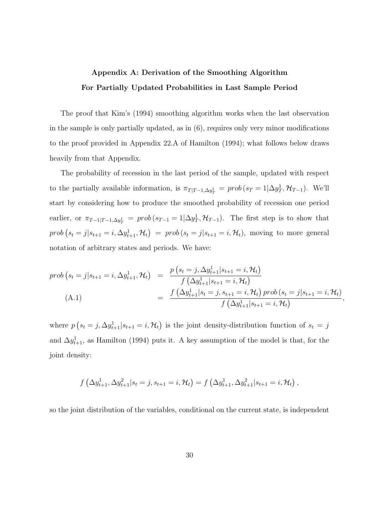# Appendix A: Derivation of the Smoothing Algorithm For Partially Updated Probabilities in Last Sample Period

The proof that Kim's (1994) smoothing algorithm works when the last observation in the sample is only partially updated, as in  $(6)$ , requires only very minor modifications to the proof provided in Appendix 22.A of Hamilton (1994); what follows below draws heavily from that Appendix.

The probability of recession in the last period of the sample, updated with respect to the partially available information, is  $\pi_{T|T-1,\Delta y_T^1} = prob(s_T=1|\Delta y_T^1, \mathcal{H}_{T-1})$ . We'll start by considering how to produce the smoothed probability of recession one period earlier, or  $\pi_{T-1|T-1,\Delta y_T^1} = prob(s_{T-1} = 1|\Delta y_T^1, \mathcal{H}_{T-1})$ . The first step is to show that  $prob(s_t = j | s_{t+1} = i, \Delta y_{t+1}^1, \mathcal{H}_t) = prob(s_t = j | s_{t+1} = i, \mathcal{H}_t)$ , moving to more general notation of arbitrary states and periods. We have:

$$
prob(s_t = j | s_{t+1} = i, \Delta y_{t+1}^1, \mathcal{H}_t) = \frac{p(s_t = j, \Delta y_{t+1}^1 | s_{t+1} = i, \mathcal{H}_t)}{f(\Delta y_{t+1}^1 | s_{t+1} = i, \mathcal{H}_t)} \n(A.1) = \frac{f(\Delta y_{t+1}^1 | s_t = j, s_{t+1} = i, \mathcal{H}_t) \, prob(s_t = j | s_{t+1} = i, \mathcal{H}_t)}{f(\Delta y_{t+1}^1 | s_{t+1} = i, \mathcal{H}_t)},
$$

where  $p(s_t = j, \Delta y_{t+1}^1 | s_{t+1} = i, \mathcal{H}_t)$  is the joint density-distribution function of  $s_t = j$ and  $\Delta y_{t+1}^1$ , as Hamilton (1994) puts it. A key assumption of the model is that, for the joint density:

$$
f\left(\Delta y_{t+1}^1, \Delta y_{t+1}^2 | s_t = j, s_{t+1} = i, \mathcal{H}_t\right) = f\left(\Delta y_{t+1}^1, \Delta y_{t+1}^2 | s_{t+1} = i, \mathcal{H}_t\right),
$$

so the joint distribution of the variables, conditional on the current state, is independent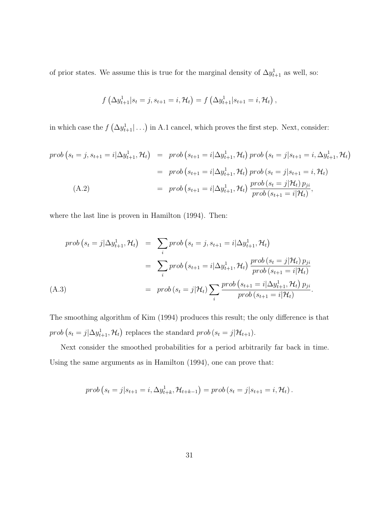of prior states. We assume this is true for the marginal density of  $\Delta y_{t+1}^1$  as well, so:

$$
f\left(\Delta y_{t+1}^1 | s_t = j, s_{t+1} = i, \mathcal{H}_t\right) = f\left(\Delta y_{t+1}^1 | s_{t+1} = i, \mathcal{H}_t\right),
$$

in which case the  $f\left(\Delta y_{t+1}^1|\ldots\right)$  in A.1 cancel, which proves the first step. Next, consider:

$$
prob(s_t = j, s_{t+1} = i | \Delta y_{t+1}^1, \mathcal{H}_t) = prob(s_{t+1} = i | \Delta y_{t+1}^1, \mathcal{H}_t) prob(s_t = j | s_{t+1} = i, \Delta y_{t+1}^1, \mathcal{H}_t)
$$
  
=  $prob(s_{t+1} = i | \Delta y_{t+1}^1, \mathcal{H}_t) prob(s_t = j | s_{t+1} = i, \mathcal{H}_t)$   
=  $prob(s_{t+1} = i | \Delta y_{t+1}^1, \mathcal{H}_t) prob(s_t = j | \mathcal{H}_t) p_{ji}$   
=  $prob(s_{t+1} = i | \Delta y_{t+1}^1, \mathcal{H}_t) prob(s_t = j | \mathcal{H}_t) p_{ji}$ ,

where the last line is proven in Hamilton (1994). Then:

$$
prob(s_t = j | \Delta y_{t+1}^1, \mathcal{H}_t) = \sum_i prob(s_t = j, s_{t+1} = i | \Delta y_{t+1}^1, \mathcal{H}_t)
$$
  

$$
= \sum_i prob(s_{t+1} = i | \Delta y_{t+1}^1, \mathcal{H}_t) \frac{prob(s_t = j | \mathcal{H}_t) p_{ji}}{prob(s_{t+1} = i | \mathcal{H}_t)}
$$
  
(A.3)  

$$
= prob(s_t = j | \mathcal{H}_t) \sum_i \frac{prob(s_{t+1} = i | \Delta y_{t+1}^1, \mathcal{H}_t) p_{ji}}{prob(s_{t+1} = i | \mathcal{H}_t)}.
$$

The smoothing algorithm of Kim (1994) produces this result; the only difference is that  $prob(s_t = j | \Delta y_{t+1}^1, \mathcal{H}_t)$  replaces the standard  $prob(s_t = j | \mathcal{H}_{t+1}).$ 

Next consider the smoothed probabilities for a period arbitrarily far back in time. Using the same arguments as in Hamilton (1994), one can prove that:

$$
prob(s_t = j | s_{t+1} = i, \Delta y_{t+k}^1, \mathcal{H}_{t+k-1}) = prob(s_t = j | s_{t+1} = i, \mathcal{H}_t).
$$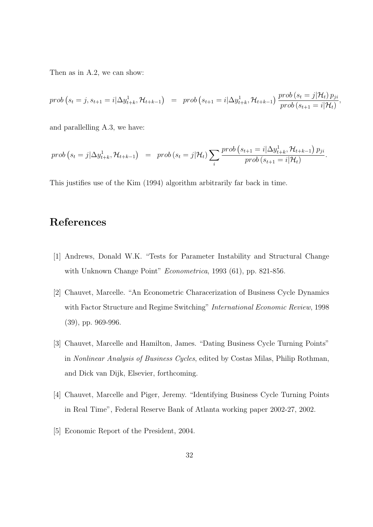Then as in A.2, we can show:

$$
prob(s_t = j, s_{t+1} = i | \Delta y_{t+k}^1, \mathcal{H}_{t+k-1}) = prob(s_{t+1} = i | \Delta y_{t+k}^1, \mathcal{H}_{t+k-1}) \frac{prob(s_t = j | \mathcal{H}_t) p_{ji}}{prob(s_{t+1} = i | \mathcal{H}_t)},
$$

and parallelling A.3, we have:

$$
prob(s_t = j | \Delta y_{t+k}^1, \mathcal{H}_{t+k-1}) = prob(s_t = j | \mathcal{H}_t) \sum_i \frac{prob(s_{t+1} = i | \Delta y_{t+k}^1, \mathcal{H}_{t+k-1}) p_{ji}}{prob(s_{t+1} = i | \mathcal{H}_t)}.
$$

This justifies use of the Kim (1994) algorithm arbitrarily far back in time.

# References

- [1] Andrews, Donald W.K. "Tests for Parameter Instability and Structural Change with Unknown Change Point" *Econometrica*, 1993 (61), pp. 821-856.
- [2] Chauvet, Marcelle. "An Econometric Characerization of Business Cycle Dynamics with Factor Structure and Regime Switching" *International Economic Review*, 1998 (39), pp. 969-996.
- [3] Chauvet, Marcelle and Hamilton, James. "Dating Business Cycle Turning Points" in Nonlinear Analysis of Business Cycles, edited by Costas Milas, Philip Rothman, and Dick van Dijk, Elsevier, forthcoming.
- [4] Chauvet, Marcelle and Piger, Jeremy. "Identifying Business Cycle Turning Points in Real Time", Federal Reserve Bank of Atlanta working paper 2002-27, 2002.
- [5] Economic Report of the President, 2004.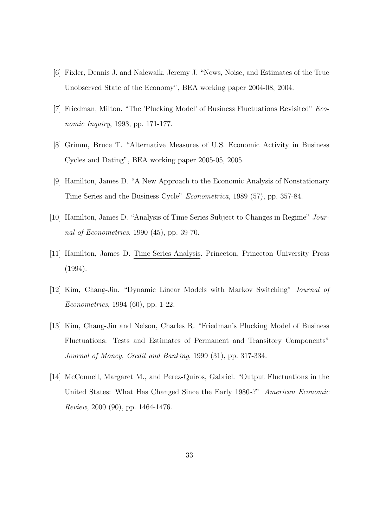- [6] Fixler, Dennis J. and Nalewaik, Jeremy J. "News, Noise, and Estimates of the True Unobserved State of the Economy", BEA working paper 2004-08, 2004.
- [7] Friedman, Milton. "The 'Plucking Model' of Business Fluctuations Revisited" Economic Inquiry, 1993, pp. 171-177.
- [8] Grimm, Bruce T. "Alternative Measures of U.S. Economic Activity in Business Cycles and Dating", BEA working paper 2005-05, 2005.
- [9] Hamilton, James D. "A New Approach to the Economic Analysis of Nonstationary Time Series and the Business Cycle" Econometrica, 1989 (57), pp. 357-84.
- [10] Hamilton, James D. "Analysis of Time Series Subject to Changes in Regime" Journal of Econometrics, 1990 (45), pp. 39-70.
- [11] Hamilton, James D. Time Series Analysis. Princeton, Princeton University Press (1994).
- [12] Kim, Chang-Jin. "Dynamic Linear Models with Markov Switching" Journal of Econometrics, 1994 (60), pp. 1-22.
- [13] Kim, Chang-Jin and Nelson, Charles R. "Friedman's Plucking Model of Business Fluctuations: Tests and Estimates of Permanent and Transitory Components" Journal of Money, Credit and Banking, 1999 (31), pp. 317-334.
- [14] McConnell, Margaret M., and Perez-Quiros, Gabriel. "Output Fluctuations in the United States: What Has Changed Since the Early 1980s?" American Economic Review, 2000 (90), pp. 1464-1476.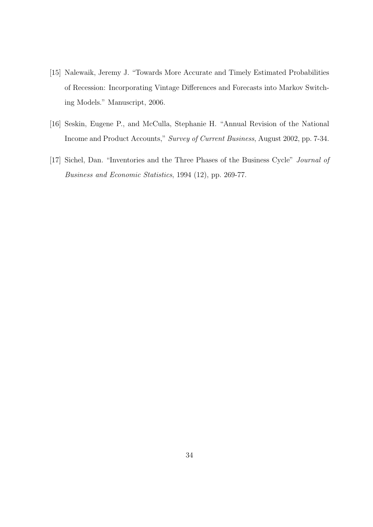- [15] Nalewaik, Jeremy J. "Towards More Accurate and Timely Estimated Probabilities of Recession: Incorporating Vintage Differences and Forecasts into Markov Switching Models." Manuscript, 2006.
- [16] Seskin, Eugene P., and McCulla, Stephanie H. "Annual Revision of the National Income and Product Accounts," Survey of Current Business, August 2002, pp. 7-34.
- [17] Sichel, Dan. "Inventories and the Three Phases of the Business Cycle" Journal of Business and Economic Statistics, 1994 (12), pp. 269-77.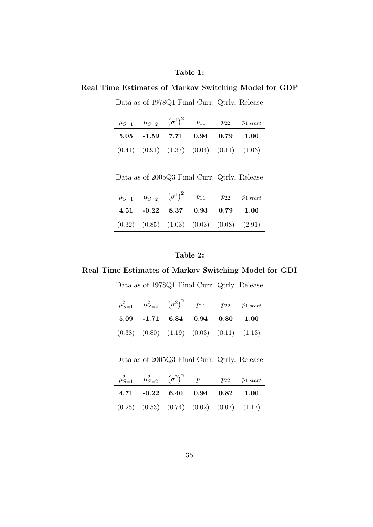### Table 1:

## Real Time Estimates of Markov Switching Model for GDP

Data as of 1978Q1 Final Curr. Qtrly. Release

| $\mu_{S=1}^1$ $\mu_{S=2}^1$ $(\sigma^1)^2$ $p_{11}$ $p_{22}$ $p_{1,start}$ |  |  |
|----------------------------------------------------------------------------|--|--|
| 5.05 -1.59 7.71 0.94 0.79 1.00                                             |  |  |
| $(0.41)$ $(0.91)$ $(1.37)$ $(0.04)$ $(0.11)$ $(1.03)$                      |  |  |

Data as of 2005Q3 Final Curr. Qtrly. Release

| $\mu_{S=1}^1$ $\mu_{S=2}^1$ $(\sigma^1)^2$ $p_{11}$ $p_{22}$ $p_{1,start}$ |  |  |
|----------------------------------------------------------------------------|--|--|
| 4.51 -0.22 8.37 0.93 0.79 1.00                                             |  |  |
| $(0.32)$ $(0.85)$ $(1.03)$ $(0.03)$ $(0.08)$ $(2.91)$                      |  |  |

### Table 2:

### Real Time Estimates of Markov Switching Model for GDI

Data as of 1978Q1 Final Curr. Qtrly. Release

|                                                       |  | $\mu_{S=1}^2$ $\mu_{S=2}^2$ $(\sigma^2)^2$ $p_{11}$ $p_{22}$ $p_{1,start}$ |
|-------------------------------------------------------|--|----------------------------------------------------------------------------|
| 5.09 -1.71 6.84 0.94 0.80 1.00                        |  |                                                                            |
| $(0.38)$ $(0.80)$ $(1.19)$ $(0.03)$ $(0.11)$ $(1.13)$ |  |                                                                            |

Data as of 2005Q3 Final Curr. Qtrly. Release

|                                                       |  | $\mu_{S=1}^2$ $\mu_{S=2}^2$ $(\sigma^2)^2$ $p_{11}$ $p_{22}$ $p_{1,start}$ |
|-------------------------------------------------------|--|----------------------------------------------------------------------------|
| $4.71$ $-0.22$ $6.40$ $0.94$ $0.82$ $1.00$            |  |                                                                            |
| $(0.25)$ $(0.53)$ $(0.74)$ $(0.02)$ $(0.07)$ $(1.17)$ |  |                                                                            |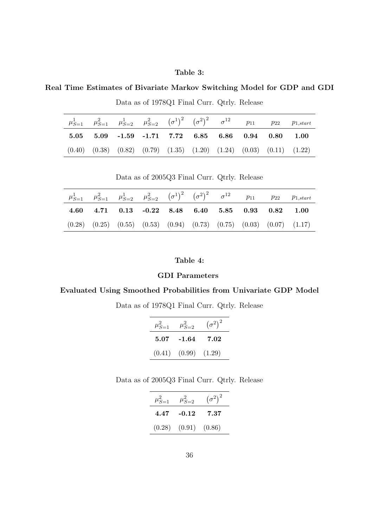### Table 3:

Real Time Estimates of Bivariate Markov Switching Model for GDP and GDI

|  |  |  |                                                                                           |  | $\mu_{S=1}^1$ $\mu_{S=1}^2$ $\mu_{S=2}^1$ $\mu_{S=2}^2$ $(\sigma^1)^2$ $(\sigma^2)^2$ $\sigma^{12}$ $p_{11}$ $p_{22}$ $p_{1,start}$ |
|--|--|--|-------------------------------------------------------------------------------------------|--|-------------------------------------------------------------------------------------------------------------------------------------|
|  |  |  | $5.05$ $5.09$ $-1.59$ $-1.71$ $7.72$ $6.85$ $6.86$ $0.94$ $0.80$ $1.00$                   |  |                                                                                                                                     |
|  |  |  | $(0.40)$ $(0.38)$ $(0.82)$ $(0.79)$ $(1.35)$ $(1.20)$ $(1.24)$ $(0.03)$ $(0.11)$ $(1.22)$ |  |                                                                                                                                     |

Data as of 1978Q1 Final Curr. Qtrly. Release

Data as of 2005Q3 Final Curr. Qtrly. Release

|                                                                        |  |  |  | $\mu_{S=1}^1$ $\mu_{S=1}^2$ $\mu_{S=2}^1$ $\mu_{S=2}^2$ $(\sigma^1)^2$ $(\sigma^2)^2$ $\sigma^{12}$ $p_{11}$ $p_{22}$ $p_{1,start}$ |
|------------------------------------------------------------------------|--|--|--|-------------------------------------------------------------------------------------------------------------------------------------|
| $4.60$ $4.71$ $0.13$ $-0.22$ $8.48$ $6.40$ $5.85$ $0.93$ $0.82$ $1.00$ |  |  |  |                                                                                                                                     |
|                                                                        |  |  |  | $(0.28)$ $(0.25)$ $(0.55)$ $(0.53)$ $(0.94)$ $(0.73)$ $(0.75)$ $(0.03)$ $(0.07)$ $(1.17)$                                           |

### Table 4:

### GDI Parameters

### Evaluated Using Smoothed Probabilities from Univariate GDP Model

Data as of 1978Q1 Final Curr. Qtrly. Release

| $\mu_{S=1}^2$ | $\mu_{S=2}^2$ | $(\sigma^2)^2$ |
|---------------|---------------|----------------|
| 5.07          | $-1.64$       | 7.02           |
| (0.41)        | (0.99)        | (1.29)         |

Data as of 2005Q3 Final Curr. Qtrly. Release

| $\mu_{S=1}^2$ | $\mu_{S=2}^2$              | $(\sigma^2)^2$ |
|---------------|----------------------------|----------------|
| 4.47          | $-0.12$                    | 7.37           |
|               | $(0.28)$ $(0.91)$ $(0.86)$ |                |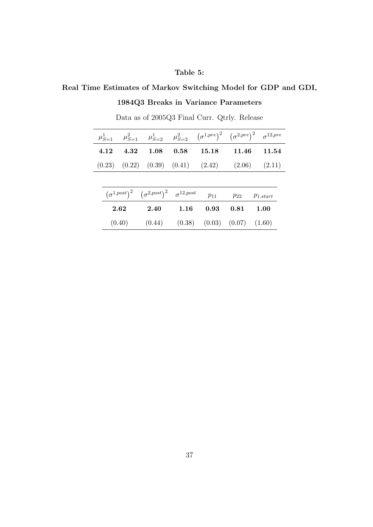## Table 5:

## Real Time Estimates of Markov Switching Model for GDP and GDI,

## 1984Q3 Breaks in Variance Parameters

|      |      |                                                                |      |          |          | $\mu^1_{S=1} \quad \  \mu^2_{S=1} \quad \  \mu^1_{S=2} \quad \  \mu^2_{S=2} \quad \  \big(\sigma^{1,pre}\big)^2 \quad \big(\sigma^{2,pre}\big)^2 \quad \sigma^{12,pre}$ |
|------|------|----------------------------------------------------------------|------|----------|----------|-------------------------------------------------------------------------------------------------------------------------------------------------------------------------|
| 4.12 | 4.32 | 1.08                                                           | 0.58 | 15.18    | - 11.46  | 11.54                                                                                                                                                                   |
|      |      |                                                                |      |          |          | $(0.23)$ $(0.22)$ $(0.39)$ $(0.41)$ $(2.42)$ $(2.06)$ $(2.11)$                                                                                                          |
|      |      |                                                                |      |          |          |                                                                                                                                                                         |
|      |      | $(\sigma^{1,post})^2$ $(\sigma^{2,post})^2$ $\sigma^{12,post}$ |      | $p_{11}$ | $p_{22}$ | $p_{1,start}$                                                                                                                                                           |
|      | 2.62 | 2.40                                                           | 1.16 | 0.93     | 0.81     | 1.00                                                                                                                                                                    |

 $(0.40)$   $(0.44)$   $(0.38)$   $(0.03)$   $(0.07)$   $(1.60)$ 

Data as of 2005Q3 Final Curr. Qtrly. Release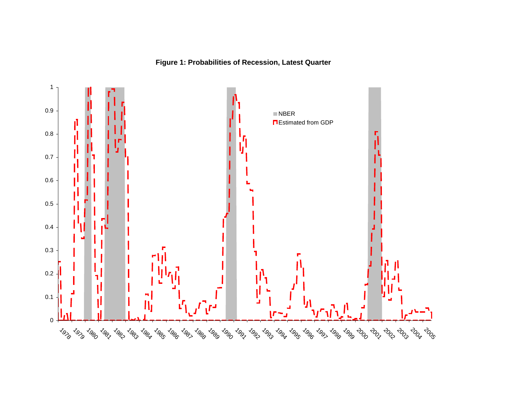## **Figure 1: Probabilities of Recession, Latest Quarter**

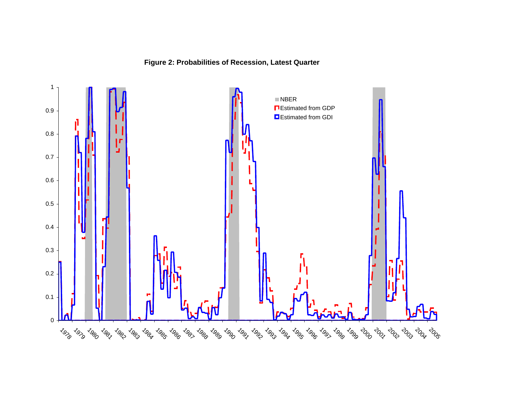## **Figure 2: Probabilities of Recession, Latest Quarter**

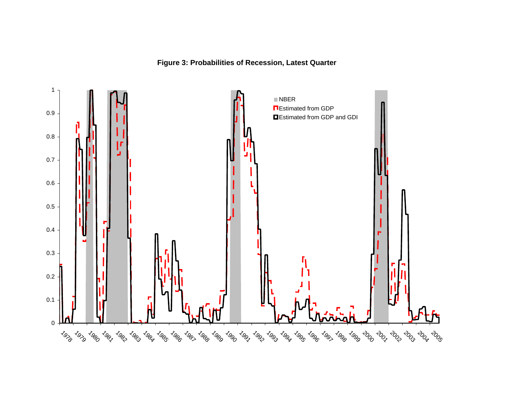

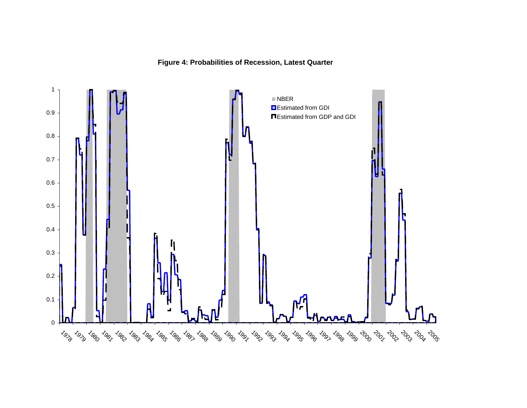## **Figure 4: Probabilities of Recession, Latest Quarter**

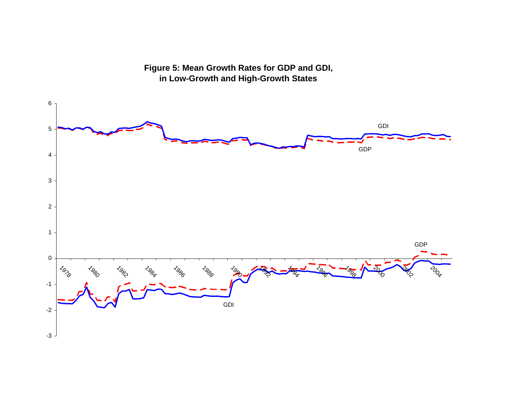**Figure 5: Mean Growth Rates for GDP and GDI, in Low-Growth and High-Growth States**

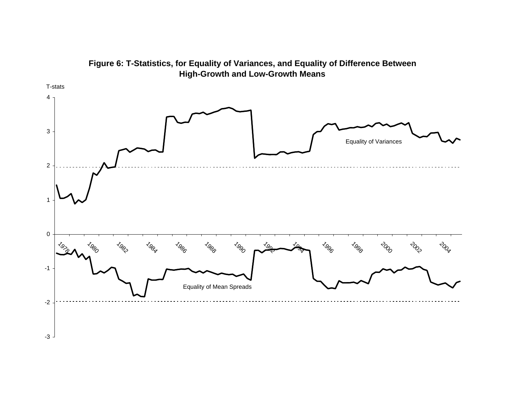

**Figure 6: T-Statistics, for Equality of Variances, and Equality of Difference Between High-Growth and Low-Growth Means**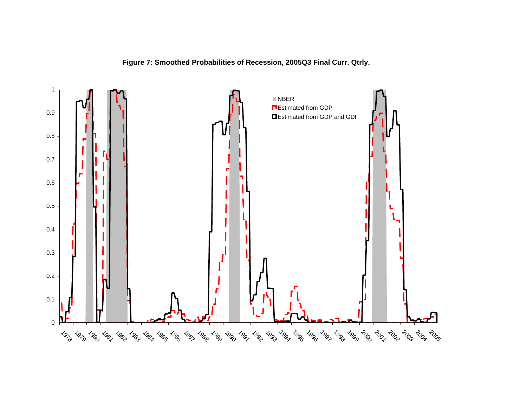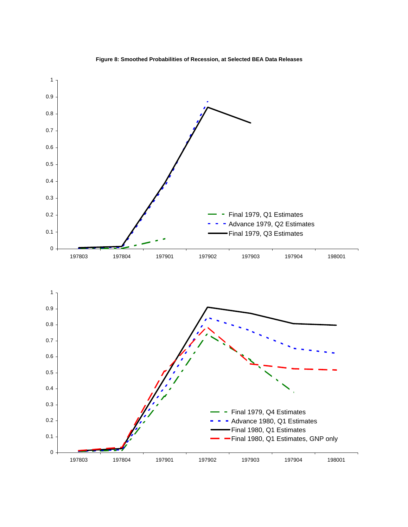

**Figure 8: Smoothed Probabilities of Recession, at Selected BEA Data Releases**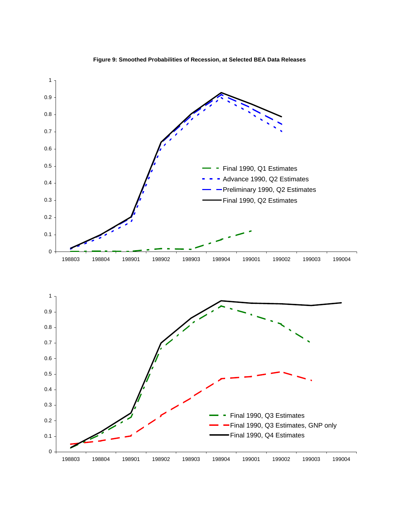

**Figure 9: Smoothed Probabilities of Recession, at Selected BEA Data Releases**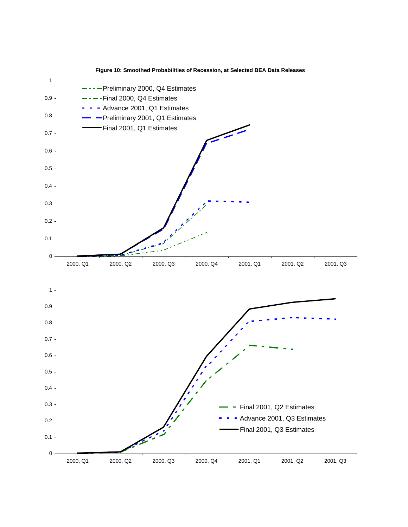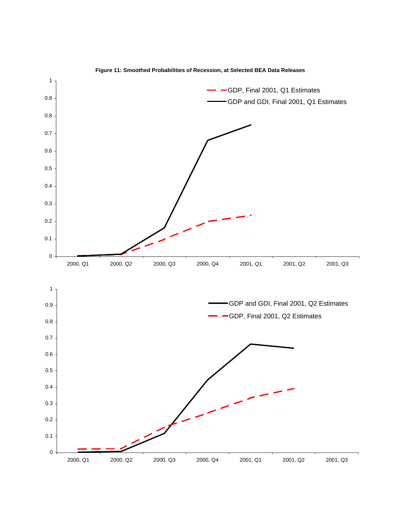

**Figure 11: Smoothed Probabilities of Recession, at Selected BEA Data Releases**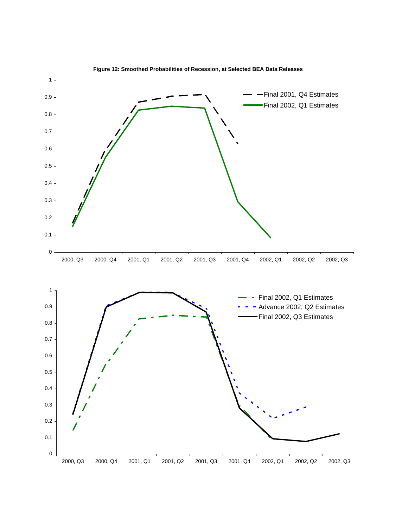

**Figure 12: Smoothed Probabilities of Recession, at Selected BEA Data Releases**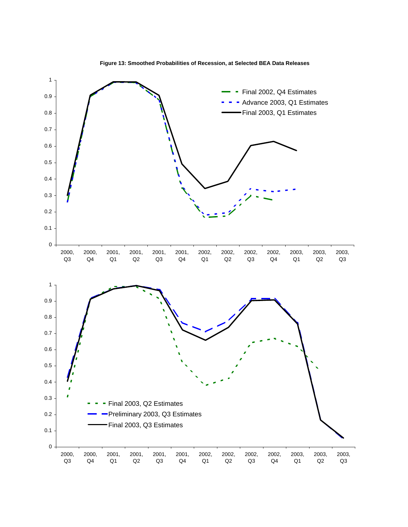

**Figure 13: Smoothed Probabilities of Recession, at Selected BEA Data Releases**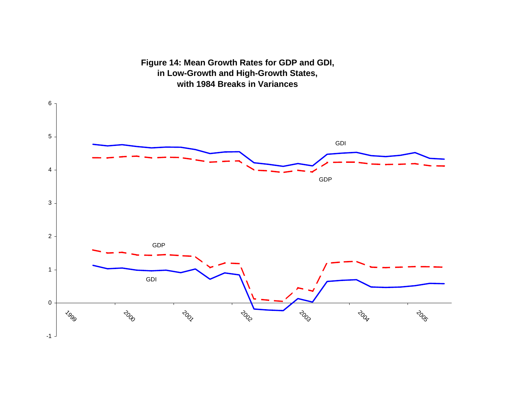# -1 0 1 2 3 4 56  $\sigma_{\rm 2g}$   $\sigma_{\rm 2g}$   $\sigma_{\rm 2g}$   $\sigma_{\rm 2g}$   $\sigma_{\rm 2g}$   $\sigma_{\rm 2g}$   $\sigma_{\rm 2g}$   $\sigma_{\rm 2g}$ GDI GDP GDI GDP

**Figure 14: Mean Growth Rates for GDP and GDI, in Low-Growth and High-Growth States, with 1984 Breaks in Variances**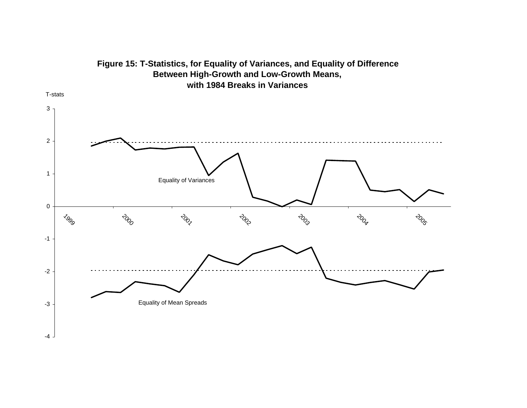

# **Figure 15: T-Statistics, for Equality of Variances, and Equality of Difference Between High-Growth and Low-Growth Means, with 1984 Breaks in Variances**